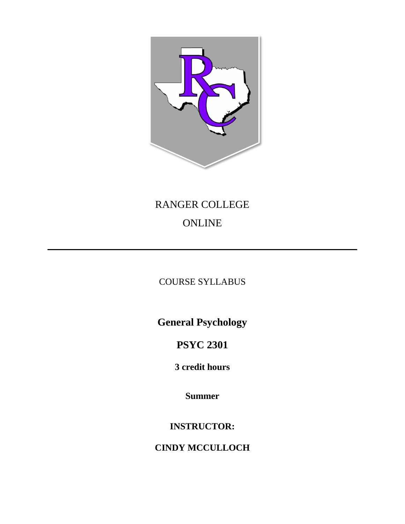

# RANGER COLLEGE ONLINE

# COURSE SYLLABUS

**General Psychology**

**PSYC 2301**

**3 credit hours**

**Summer** 

**INSTRUCTOR:**

**CINDY MCCULLOCH**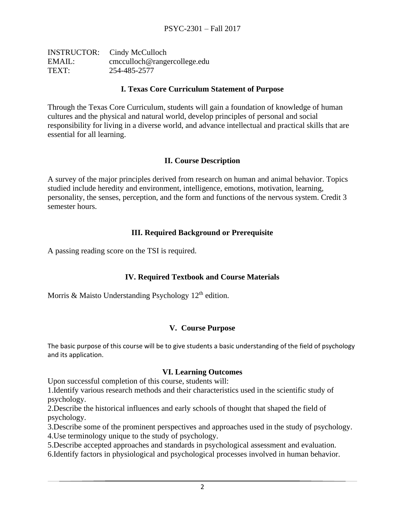|        | <b>INSTRUCTOR:</b> Cindy McCulloch |
|--------|------------------------------------|
| EMAIL: | cmcculloch@rangercollege.edu       |
| TEXT:  | 254-485-2577                       |

#### **I. Texas Core Curriculum Statement of Purpose**

Through the Texas Core Curriculum, students will gain a foundation of knowledge of human cultures and the physical and natural world, develop principles of personal and social responsibility for living in a diverse world, and advance intellectual and practical skills that are essential for all learning.

# **II. Course Description**

A survey of the major principles derived from research on human and animal behavior. Topics studied include heredity and environment, intelligence, emotions, motivation, learning, personality, the senses, perception, and the form and functions of the nervous system. Credit 3 semester hours.

#### **III. Required Background or Prerequisite**

A passing reading score on the TSI is required.

# **IV. Required Textbook and Course Materials**

Morris & Maisto Understanding Psychology 12<sup>th</sup> edition.

#### **V. Course Purpose**

The basic purpose of this course will be to give students a basic understanding of the field of psychology and its application.

#### **VI. Learning Outcomes**

Upon successful completion of this course, students will:

1.Identify various research methods and their characteristics used in the scientific study of psychology.

2.Describe the historical influences and early schools of thought that shaped the field of psychology.

3.Describe some of the prominent perspectives and approaches used in the study of psychology.

4.Use terminology unique to the study of psychology.

5.Describe accepted approaches and standards in psychological assessment and evaluation.

6.Identify factors in physiological and psychological processes involved in human behavior.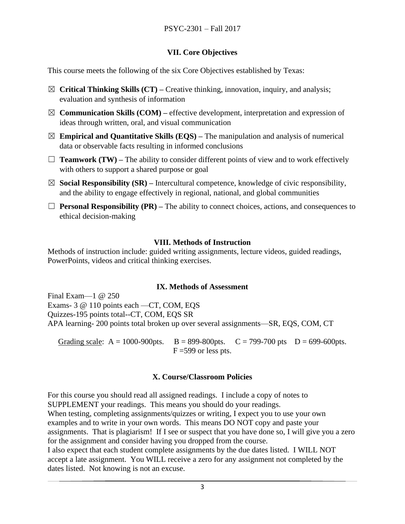# **VII. Core Objectives**

This course meets the following of the six Core Objectives established by Texas:

- ☒ **Critical Thinking Skills (CT) –** Creative thinking, innovation, inquiry, and analysis; evaluation and synthesis of information
- $\boxtimes$  **Communication Skills (COM)** effective development, interpretation and expression of ideas through written, oral, and visual communication
- $\boxtimes$  **Empirical and Quantitative Skills (EQS)** The manipulation and analysis of numerical data or observable facts resulting in informed conclusions
- $\Box$  **Teamwork (TW)** The ability to consider different points of view and to work effectively with others to support a shared purpose or goal
- ☒ **Social Responsibility (SR) –** Intercultural competence, knowledge of civic responsibility, and the ability to engage effectively in regional, national, and global communities
- $\Box$  **Personal Responsibility (PR)** The ability to connect choices, actions, and consequences to ethical decision-making

# **VIII. Methods of Instruction**

Methods of instruction include: guided writing assignments, lecture videos, guided readings, PowerPoints, videos and critical thinking exercises.

# **IX. Methods of Assessment**

Final Exam—1 @ 250 Exams- 3 @ 110 points each —CT, COM, EQS Quizzes-195 points total--CT, COM, EQS SR APA learning- 200 points total broken up over several assignments—SR, EQS, COM, CT

Grading scale:  $A = 1000 - 900$  pts.  $B = 899 - 800$  pts.  $C = 799 - 700$  pts.  $D = 699 - 600$  pts.  $F = 599$  or less pts.

# **X. Course/Classroom Policies**

For this course you should read all assigned readings. I include a copy of notes to SUPPLEMENT your readings. This means you should do your readings. When testing, completing assignments/quizzes or writing, I expect you to use your own examples and to write in your own words. This means DO NOT copy and paste your assignments. That is plagiarism! If I see or suspect that you have done so, I will give you a zero for the assignment and consider having you dropped from the course.

I also expect that each student complete assignments by the due dates listed. I WILL NOT accept a late assignment. You WILL receive a zero for any assignment not completed by the dates listed. Not knowing is not an excuse.